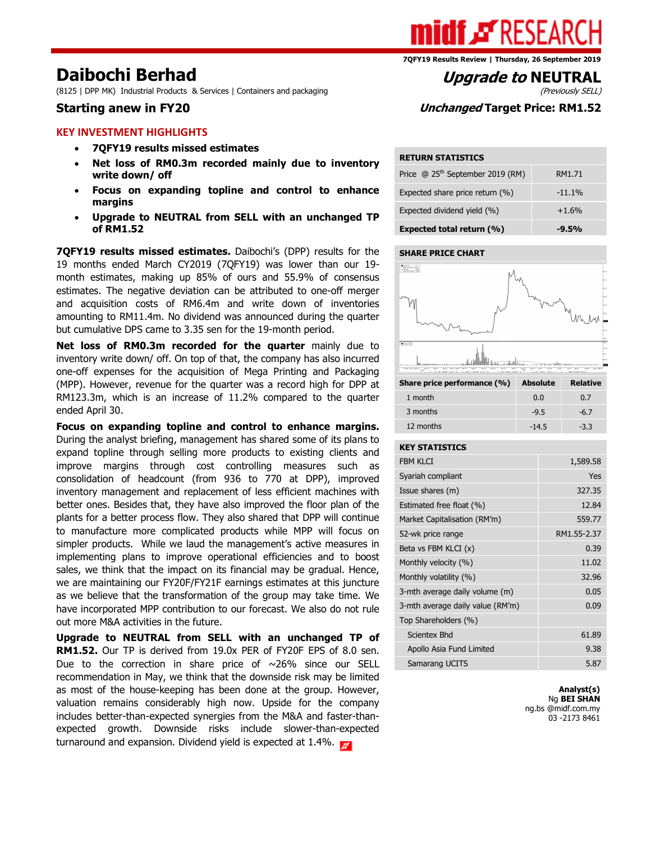(8125 | DPP MK) Industrial Products & Services | Containers and packaging

#### KEY INVESTMENT HIGHLIGHTS

- 7QFY19 results missed estimates
- Net loss of RM0.3m recorded mainly due to inventory write down/ off
- Focus on expanding topline and control to enhance margins
- Upgrade to NEUTRAL from SELL with an unchanged TP of RM1.52

7QFY19 results missed estimates. Daibochi's (DPP) results for the 19 months ended March CY2019 (7QFY19) was lower than our 19 month estimates, making up 85% of ours and 55.9% of consensus estimates. The negative deviation can be attributed to one-off merger and acquisition costs of RM6.4m and write down of inventories amounting to RM11.4m. No dividend was announced during the quarter but cumulative DPS came to 3.35 sen for the 19-month period.

Net loss of RM0.3m recorded for the quarter mainly due to inventory write down/ off. On top of that, the company has also incurred one-off expenses for the acquisition of Mega Printing and Packaging (MPP). However, revenue for the quarter was a record high for DPP at RM123.3m, which is an increase of 11.2% compared to the quarter ended April 30.

Focus on expanding topline and control to enhance margins. During the analyst briefing, management has shared some of its plans to expand topline through selling more products to existing clients and improve margins through cost controlling measures such as consolidation of headcount (from 936 to 770 at DPP), improved inventory management and replacement of less efficient machines with better ones. Besides that, they have also improved the floor plan of the plants for a better process flow. They also shared that DPP will continue to manufacture more complicated products while MPP will focus on simpler products. While we laud the management's active measures in implementing plans to improve operational efficiencies and to boost sales, we think that the impact on its financial may be gradual. Hence, we are maintaining our FY20F/FY21F earnings estimates at this juncture as we believe that the transformation of the group may take time. We have incorporated MPP contribution to our forecast. We also do not rule out more M&A activities in the future.

Upgrade to NEUTRAL from SELL with an unchanged TP of RM1.52. Our TP is derived from 19.0x PER of FY20F EPS of 8.0 sen. Due to the correction in share price of  $\sim$ 26% since our SELL recommendation in May, we think that the downside risk may be limited as most of the house-keeping has been done at the group. However, valuation remains considerably high now. Upside for the company includes better-than-expected synergies from the M&A and faster-thanexpected growth. Downside risks include slower-than-expected turnaround and expansion. Dividend yield is expected at 1.4%.

7QFY19 Results Review | Thursday, 26 September 2019

# **Daibochi Berhad**<br>(8125 | DPP MK) Industrial Products & Services | Containers and packaging *Upgrade to NEUTRAL*

## Starting anew in FY20 Starting and Unchanged Target Price: RM1.52

#### RETURN STATISTICS

| Price @ 25 <sup>th</sup> September 2019 (RM) | RM1.71   |
|----------------------------------------------|----------|
| Expected share price return (%)              | $-11.1%$ |
| Expected dividend yield (%)                  | $+1.6%$  |
| Expected total return (%)                    | $-9.5%$  |

#### SHARE PRICE CHART



| Share price performance (%) | <b>Absolute</b> | <b>Relative</b> |
|-----------------------------|-----------------|-----------------|
| 1 month                     | 0.0             | 0.7             |
| 3 months                    | $-9.5$          | $-6.7$          |
| 12 months                   | $-14.5$         | $-3.3$          |

#### KEY STATISTICS

| <b>FBM KLCI</b>                  | 1,589.58    |
|----------------------------------|-------------|
| Syariah compliant                | Yes         |
| Issue shares (m)                 | 327.35      |
| Estimated free float (%)         | 12.84       |
| Market Capitalisation (RM'm)     | 559.77      |
| 52-wk price range                | RM1.55-2.37 |
| Beta vs FBM KLCI $(x)$           | 0.39        |
| Monthly velocity (%)             | 11.02       |
| Monthly volatility (%)           | 32.96       |
| 3-mth average daily volume (m)   | 0.05        |
| 3-mth average daily value (RM'm) | 0.09        |
| Top Shareholders (%)             |             |
| <b>Scientex Bhd</b>              | 61.89       |
| Apollo Asia Fund Limited         | 9.38        |
| Samarang UCITS                   | 5.87        |

Analyst(s) Ng BEI SHAN ng.bs @midf.com.my 03 -2173 8461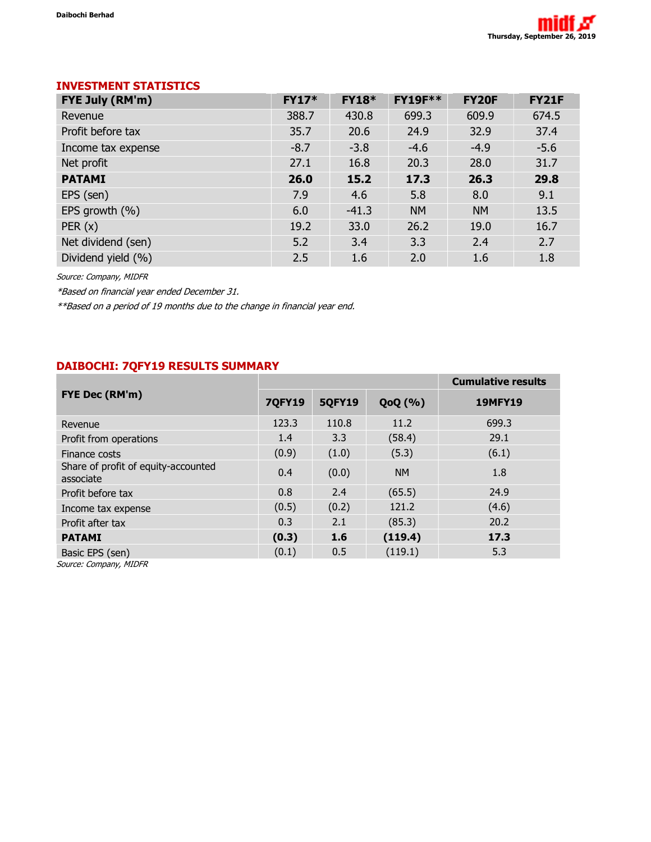# INVESTMENT STATISTICS

| <b>FYE July (RM'm)</b> | <b>FY17*</b> | <b>FY18*</b> | <b>FY19F**</b> | <b>FY20F</b> | <b>FY21F</b> |
|------------------------|--------------|--------------|----------------|--------------|--------------|
| Revenue                | 388.7        | 430.8        | 699.3          | 609.9        | 674.5        |
| Profit before tax      | 35.7         | 20.6         | 24.9           | 32.9         | 37.4         |
| Income tax expense     | $-8.7$       | $-3.8$       | $-4.6$         | $-4.9$       | $-5.6$       |
| Net profit             | 27.1         | 16.8         | 20.3           | 28.0         | 31.7         |
| <b>PATAMI</b>          | 26.0         | 15.2         | 17.3           | 26.3         | 29.8         |
| EPS (sen)              | 7.9          | 4.6          | 5.8            | 8.0          | 9.1          |
| EPS growth (%)         | 6.0          | $-41.3$      | <b>NM</b>      | <b>NM</b>    | 13.5         |
| PER(x)                 | 19.2         | 33.0         | 26.2           | 19.0         | 16.7         |
| Net dividend (sen)     | 5.2          | 3.4          | 3.3            | 2.4          | 2.7          |
| Dividend yield (%)     | 2.5          | 1.6          | 2.0            | 1.6          | 1.8          |

Source: Company, MIDFR

\*Based on financial year ended December 31.

\*\*Based on a period of 19 months due to the change in financial year end.

# DAIBOCHI: 7QFY19 RESULTS SUMMARY

|                                                  |               |               |           | <b>Cumulative results</b> |
|--------------------------------------------------|---------------|---------------|-----------|---------------------------|
| FYE Dec (RM'm)                                   | <b>7QFY19</b> | <b>5QFY19</b> | QoQ(%)    | <b>19MFY19</b>            |
| Revenue                                          | 123.3         | 110.8         | 11.2      | 699.3                     |
| Profit from operations                           | 1.4           | 3.3           | (58.4)    | 29.1                      |
| Finance costs                                    | (0.9)         | (1.0)         | (5.3)     | (6.1)                     |
| Share of profit of equity-accounted<br>associate | 0.4           | (0.0)         | <b>NM</b> | 1.8                       |
| Profit before tax                                | 0.8           | 2.4           | (65.5)    | 24.9                      |
| Income tax expense                               | (0.5)         | (0.2)         | 121.2     | (4.6)                     |
| Profit after tax                                 | 0.3           | 2.1           | (85.3)    | 20.2                      |
| <b>PATAMI</b>                                    | (0.3)         | 1.6           | (119.4)   | 17.3                      |
| Basic EPS (sen)                                  | (0.1)         | 0.5           | (119.1)   | 5.3                       |
| Cource: Company MIDED                            |               |               |           |                           |

Source: Company, MIDFR